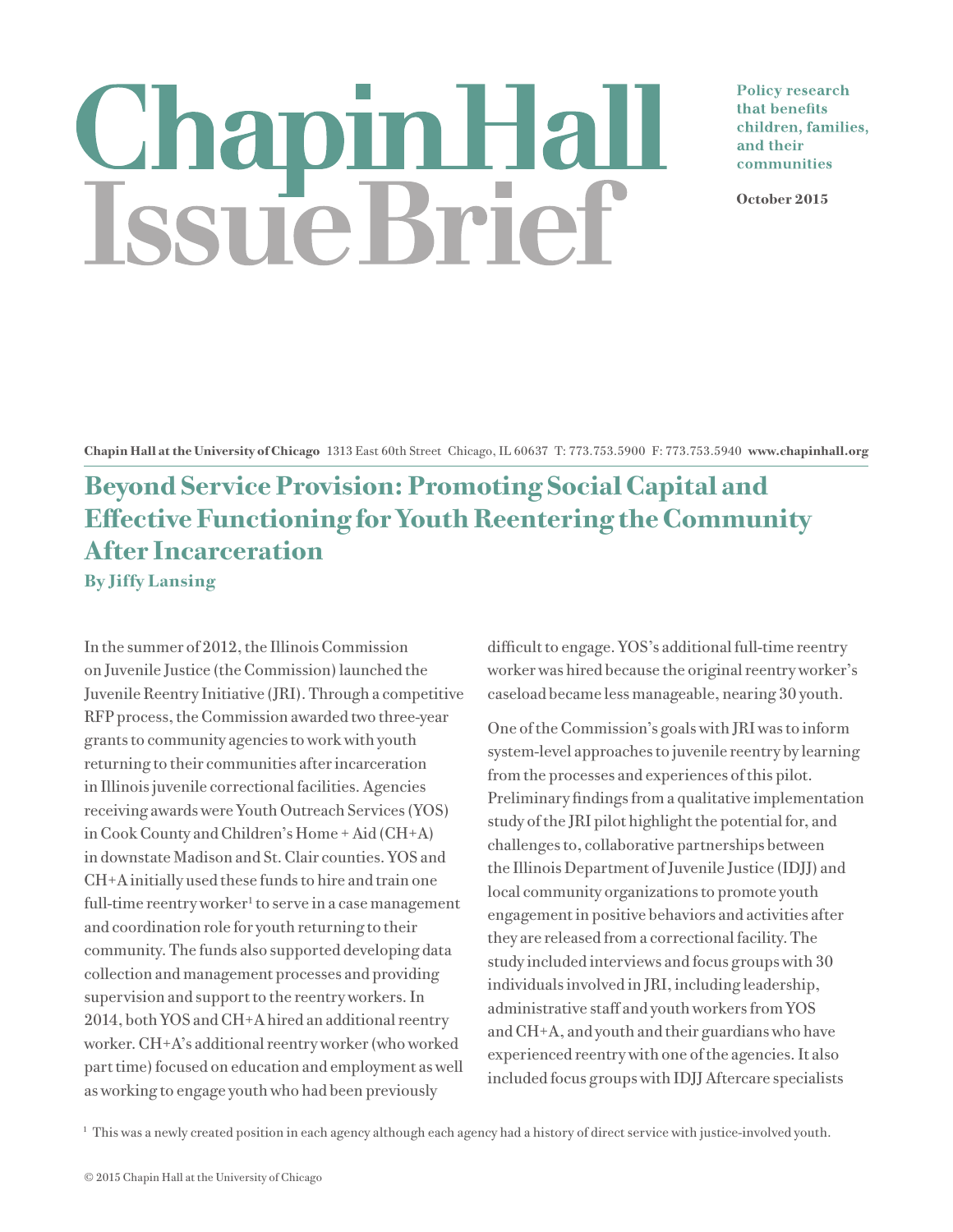# Chapin Hall<br>Issue Brief

**Policy research** that benefits children, families, and their communities

**October 2015**

**Chapin Hall at the University of Chicago** 1313 East 60th Street Chicago, IL 60637 T: 773.753.5900 F: 773.753.5940 **www.chapinhall.org**

## **Beyond Service Provision: Promoting Social Capital and Effective Functioning for Youth Reentering the Community After Incarceration By Jiffy Lansing**

In the summer of 2012, the Illinois Commission on Juvenile Justice (the Commission) launched the Juvenile Reentry Initiative (JRI). Through a competitive RFP process, the Commission awarded two three-year grants to community agencies to work with youth returning to their communities after incarceration in Illinois juvenile correctional facilities. Agencies receiving awards were Youth Outreach Services (YOS) in Cook County and Children's Home + Aid (CH+A) in downstate Madison and St. Clair counties. YOS and CH+A initially used these funds to hire and train one full-time reentry worker<sup>1</sup> to serve in a case management and coordination role for youth returning to their community. The funds also supported developing data collection and management processes and providing supervision and support to the reentry workers. In 2014, both YOS and CH+A hired an additional reentry worker. CH+A's additional reentry worker (who worked part time) focused on education and employment as well as working to engage youth who had been previously

difficult to engage. YOS's additional full-time reentry worker was hired because the original reentry worker's caseload became less manageable, nearing 30 youth.

One of the Commission's goals with JRI was to inform system-level approaches to juvenile reentry by learning from the processes and experiences of this pilot. Preliminary findings from a qualitative implementation study of the JRI pilot highlight the potential for, and challenges to, collaborative partnerships between the Illinois Department of Juvenile Justice (IDJJ) and local community organizations to promote youth engagement in positive behaviors and activities after they are released from a correctional facility. The study included interviews and focus groups with 30 individuals involved in JRI, including leadership, administrative staff and youth workers from YOS and CH+A, and youth and their guardians who have experienced reentry with one of the agencies. It also included focus groups with IDJJ Aftercare specialists

<sup>1</sup> This was a newly created position in each agency although each agency had a history of direct service with justice-involved youth.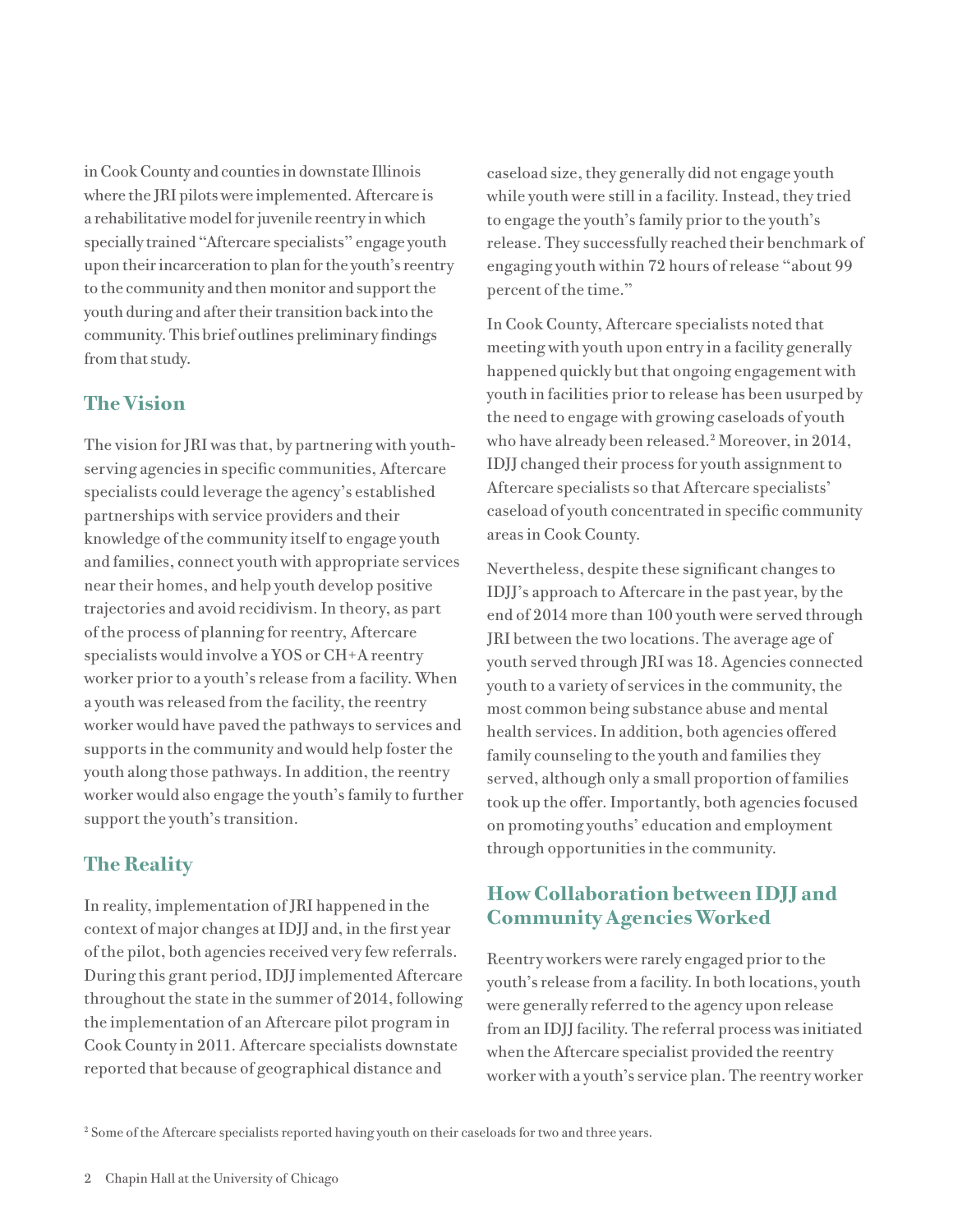in Cook County and counties in downstate Illinois where the JRI pilots were implemented. Aftercare is a rehabilitative model for juvenile reentry in which specially trained "Aftercare specialists" engage youth upon their incarceration to plan for the youth's reentry to the community and then monitor and support the youth during and after their transition back into the community. This brief outlines preliminary findings from that study.

### **The Vision**

The vision for JRI was that, by partnering with youthserving agencies in specific communities, Aftercare specialists could leverage the agency's established partnerships with service providers and their knowledge of the community itself to engage youth and families, connect youth with appropriate services near their homes, and help youth develop positive trajectories and avoid recidivism. In theory, as part of the process of planning for reentry, Aftercare specialists would involve a YOS or CH+A reentry worker prior to a youth's release from a facility. When a youth was released from the facility, the reentry worker would have paved the pathways to services and supports in the community and would help foster the youth along those pathways. In addition, the reentry worker would also engage the youth's family to further support the youth's transition.

### **The Reality**

In reality, implementation of JRI happened in the context of major changes at IDJJ and, in the first year of the pilot, both agencies received very few referrals. During this grant period, IDJJ implemented Aftercare throughout the state in the summer of 2014, following the implementation of an Aftercare pilot program in Cook County in 2011. Aftercare specialists downstate reported that because of geographical distance and

caseload size, they generally did not engage youth while youth were still in a facility. Instead, they tried to engage the youth's family prior to the youth's release. They successfully reached their benchmark of engaging youth within 72 hours of release "about 99 percent of the time."

In Cook County, Aftercare specialists noted that meeting with youth upon entry in a facility generally happened quickly but that ongoing engagement with youth in facilities prior to release has been usurped by the need to engage with growing caseloads of youth who have already been released.2 Moreover, in 2014, IDJJ changed their process for youth assignment to Aftercare specialists so that Aftercare specialists' caseload of youth concentrated in specific community areas in Cook County.

Nevertheless, despite these significant changes to IDJJ's approach to Aftercare in the past year, by the end of 2014 more than 100 youth were served through JRI between the two locations. The average age of youth served through JRI was 18. Agencies connected youth to a variety of services in the community, the most common being substance abuse and mental health services. In addition, both agencies offered family counseling to the youth and families they served, although only a small proportion of families took up the offer. Importantly, both agencies focused on promoting youths' education and employment through opportunities in the community.

### **How Collaboration between IDJJ and Community Agencies Worked**

Reentry workers were rarely engaged prior to the youth's release from a facility. In both locations, youth were generally referred to the agency upon release from an IDJJ facility. The referral process was initiated when the Aftercare specialist provided the reentry worker with a youth's service plan. The reentry worker

<sup>2</sup> Some of the Aftercare specialists reported having youth on their caseloads for two and three years.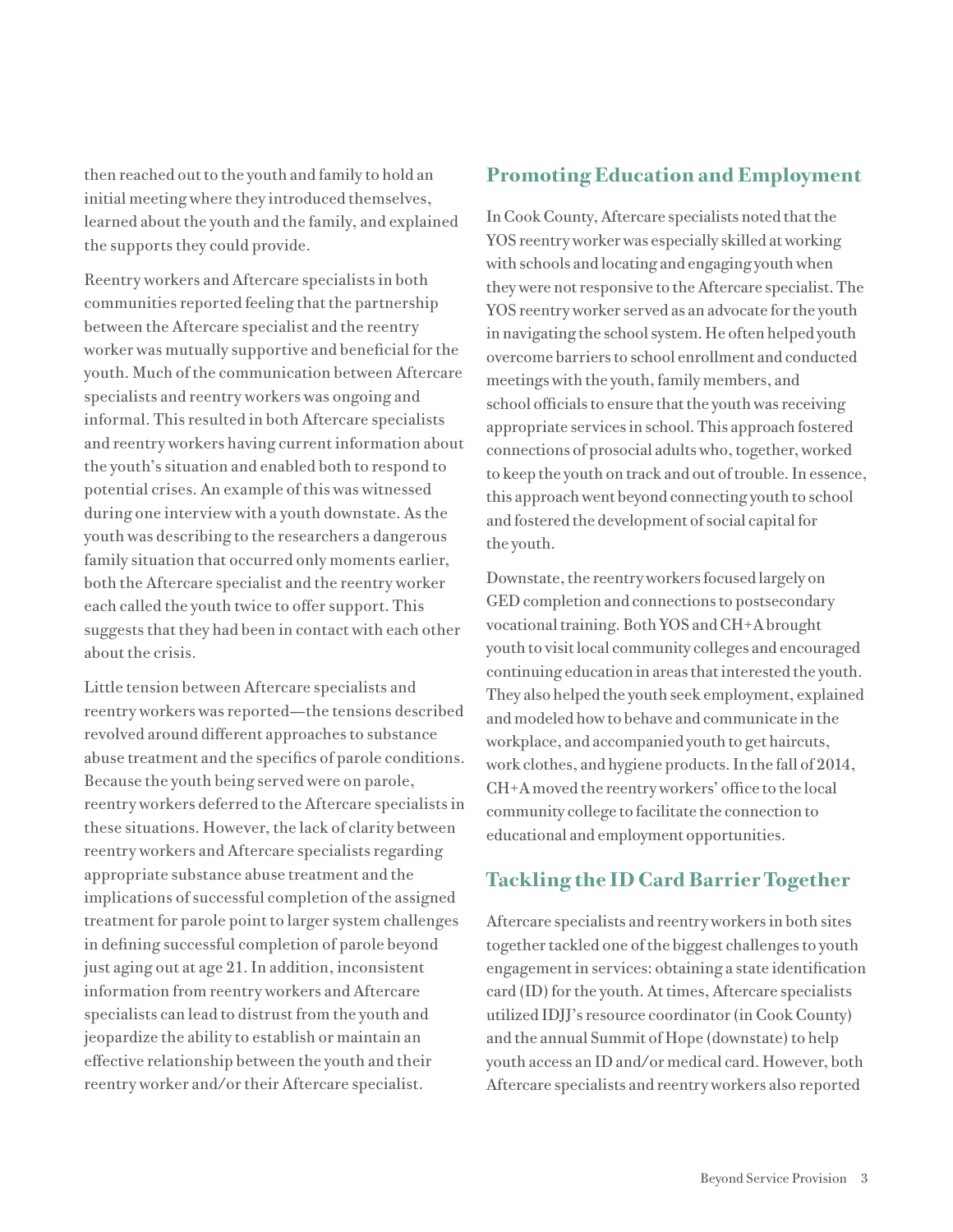then reached out to the youth and family to hold an initial meeting where they introduced themselves, learned about the youth and the family, and explained the supports they could provide.

Reentry workers and Aftercare specialists in both communities reported feeling that the partnership between the Aftercare specialist and the reentry worker was mutually supportive and beneficial for the youth. Much of the communication between Aftercare specialists and reentry workers was ongoing and informal. This resulted in both Aftercare specialists and reentry workers having current information about the youth's situation and enabled both to respond to potential crises. An example of this was witnessed during one interview with a youth downstate. As the youth was describing to the researchers a dangerous family situation that occurred only moments earlier, both the Aftercare specialist and the reentry worker each called the youth twice to offer support. This suggests that they had been in contact with each other about the crisis.

Little tension between Aftercare specialists and reentry workers was reported—the tensions described revolved around different approaches to substance abuse treatment and the specifics of parole conditions. Because the youth being served were on parole, reentry workers deferred to the Aftercare specialists in these situations. However, the lack of clarity between reentry workers and Aftercare specialists regarding appropriate substance abuse treatment and the implications of successful completion of the assigned treatment for parole point to larger system challenges in defining successful completion of parole beyond just aging out at age 21. In addition, inconsistent information from reentry workers and Aftercare specialists can lead to distrust from the youth and jeopardize the ability to establish or maintain an effective relationship between the youth and their reentry worker and/or their Aftercare specialist.

### **Promoting Education and Employment**

In Cook County, Aftercare specialists noted that the YOS reentry worker was especially skilled at working with schools and locating and engaging youth when they were not responsive to the Aftercare specialist. The YOS reentry worker served as an advocate for the youth in navigating the school system. He often helped youth overcome barriers to school enrollment and conducted meetings with the youth, family members, and school officials to ensure that the youth was receiving appropriate services in school. This approach fostered connections of prosocial adults who, together, worked to keep the youth on track and out of trouble. In essence, this approach went beyond connecting youth to school and fostered the development of social capital for the youth.

Downstate, the reentry workers focused largely on GED completion and connections to postsecondary vocational training. Both YOS and CH+A brought youth to visit local community colleges and encouraged continuing education in areas that interested the youth. They also helped the youth seek employment, explained and modeled how to behave and communicate in the workplace, and accompanied youth to get haircuts, work clothes, and hygiene products. In the fall of 2014, CH+A moved the reentry workers' office to the local community college to facilitate the connection to educational and employment opportunities.

### **Tackling the ID Card Barrier Together**

Aftercare specialists and reentry workers in both sites together tackled one of the biggest challenges to youth engagement in services: obtaining a state identification card (ID) for the youth. At times, Aftercare specialists utilized IDJJ's resource coordinator (in Cook County) and the annual Summit of Hope (downstate) to help youth access an ID and/or medical card. However, both Aftercare specialists and reentry workers also reported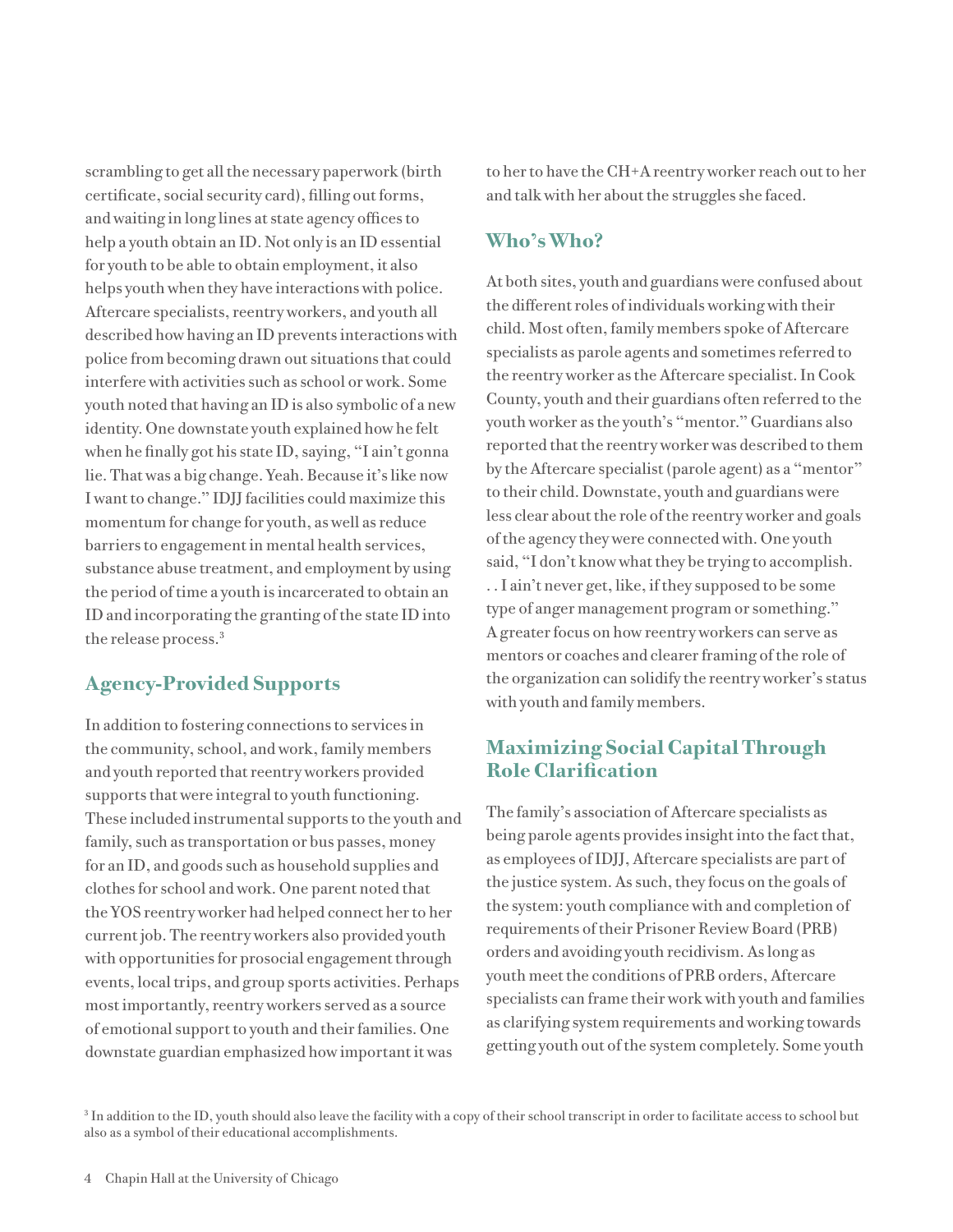scrambling to get all the necessary paperwork (birth certificate, social security card), filling out forms, and waiting in long lines at state agency offices to help a youth obtain an ID. Not only is an ID essential for youth to be able to obtain employment, it also helps youth when they have interactions with police. Aftercare specialists, reentry workers, and youth all described how having an ID prevents interactions with police from becoming drawn out situations that could interfere with activities such as school or work. Some youth noted that having an ID is also symbolic of a new identity. One downstate youth explained how he felt when he finally got his state ID, saying, "I ain't gonna lie. That was a big change. Yeah. Because it's like now I want to change." IDJJ facilities could maximize this momentum for change for youth, as well as reduce barriers to engagement in mental health services, substance abuse treatment, and employment by using the period of time a youth is incarcerated to obtain an ID and incorporating the granting of the state ID into the release process.<sup>3</sup>

### **Agency-Provided Supports**

In addition to fostering connections to services in the community, school, and work, family members and youth reported that reentry workers provided supports that were integral to youth functioning. These included instrumental supports to the youth and family, such as transportation or bus passes, money for an ID, and goods such as household supplies and clothes for school and work. One parent noted that the YOS reentry worker had helped connect her to her current job. The reentry workers also provided youth with opportunities for prosocial engagement through events, local trips, and group sports activities. Perhaps most importantly, reentry workers served as a source of emotional support to youth and their families. One downstate guardian emphasized how important it was

to her to have the CH+A reentry worker reach out to her and talk with her about the struggles she faced.

### **Who's Who?**

At both sites, youth and guardians were confused about the different roles of individuals working with their child. Most often, family members spoke of Aftercare specialists as parole agents and sometimes referred to the reentry worker as the Aftercare specialist. In Cook County, youth and their guardians often referred to the youth worker as the youth's "mentor." Guardians also reported that the reentry worker was described to them by the Aftercare specialist (parole agent) as a "mentor" to their child. Downstate, youth and guardians were less clear about the role of the reentry worker and goals of the agency they were connected with. One youth said, "I don't know what they be trying to accomplish. . . I ain't never get, like, if they supposed to be some type of anger management program or something." A greater focus on how reentry workers can serve as mentors or coaches and clearer framing of the role of the organization can solidify the reentry worker's status with youth and family members.

### **Maximizing Social Capital Through Role Clarification**

The family's association of Aftercare specialists as being parole agents provides insight into the fact that, as employees of IDJJ, Aftercare specialists are part of the justice system. As such, they focus on the goals of the system: youth compliance with and completion of requirements of their Prisoner Review Board (PRB) orders and avoiding youth recidivism. As long as youth meet the conditions of PRB orders, Aftercare specialists can frame their work with youth and families as clarifying system requirements and working towards getting youth out of the system completely. Some youth

 $3$  In addition to the ID, youth should also leave the facility with a copy of their school transcript in order to facilitate access to school but also as a symbol of their educational accomplishments.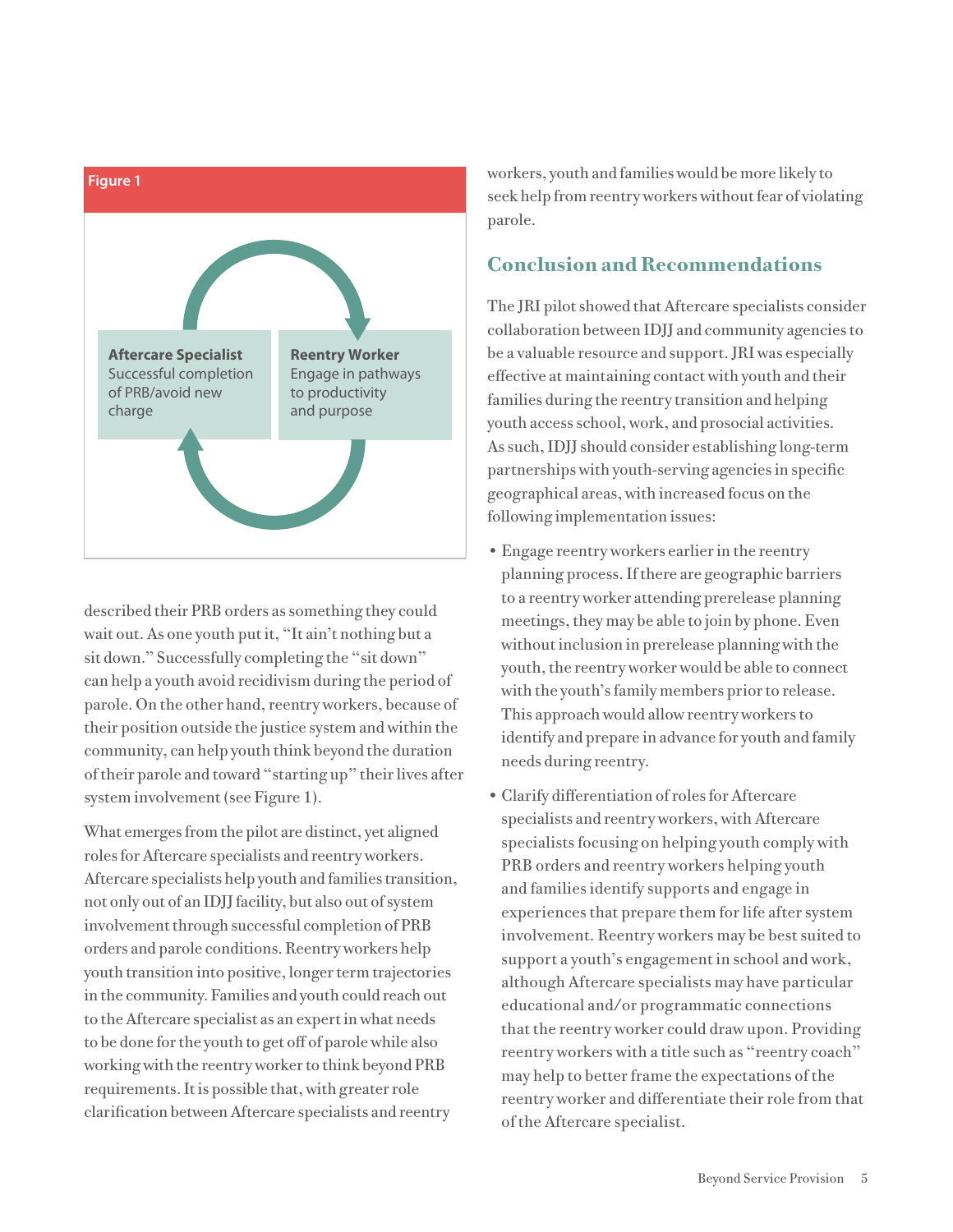

described their PRB orders as something they could wait out. As one youth put it, "It ain't nothing but a sit down." Successfully completing the "sit down" can help a youth avoid recidivism during the period of parole. On the other hand, reentry workers, because of their position outside the justice system and within the community, can help youth think beyond the duration of their parole and toward "starting up" their lives after system involvement (see Figure 1).

What emerges from the pilot are distinct, yet aligned roles for Aftercare specialists and reentry workers. Aftercare specialists help youth and families transition, not only out of an IDJJ facility, but also out of system involvement through successful completion of PRB orders and parole conditions. Reentry workers help youth transition into positive, longer term trajectories in the community. Families and youth could reach out to the Aftercare specialist as an expert in what needs to be done for the youth to get off of parole while also working with the reentry worker to think beyond PRB requirements. It is possible that, with greater role clarification between Aftercare specialists and reentry

workers, youth and families would be more likely to seek help from reentry workers without fear of violating parole.

### **Conclusion and Recommendations**

The JRI pilot showed that Aftercare specialists consider collaboration between IDJJ and community agencies to be a valuable resource and support. JRI was especially effective at maintaining contact with youth and their families during the reentry transition and helping youth access school, work, and prosocial activities. As such, IDJJ should consider establishing long-term partnerships with youth-serving agencies in specific geographical areas, with increased focus on the following implementation issues:

- Engage reentry workers earlier in the reentry planning process. If there are geographic barriers to a reentry worker attending prerelease planning meetings, they may be able to join by phone. Even without inclusion in prerelease planning with the youth, the reentry worker would be able to connect with the youth's family members prior to release. This approach would allow reentry workers to identify and prepare in advance for youth and family needs during reentry.
- Clarify differentiation of roles for Aftercare specialists and reentry workers, with Aftercare specialists focusing on helping youth comply with PRB orders and reentry workers helping youth and families identify supports and engage in experiences that prepare them for life after system involvement. Reentry workers may be best suited to support a youth's engagement in school and work, although Aftercare specialists may have particular educational and/or programmatic connections that the reentry worker could draw upon. Providing reentry workers with a title such as "reentry coach" may help to better frame the expectations of the reentry worker and differentiate their role from that of the Aftercare specialist.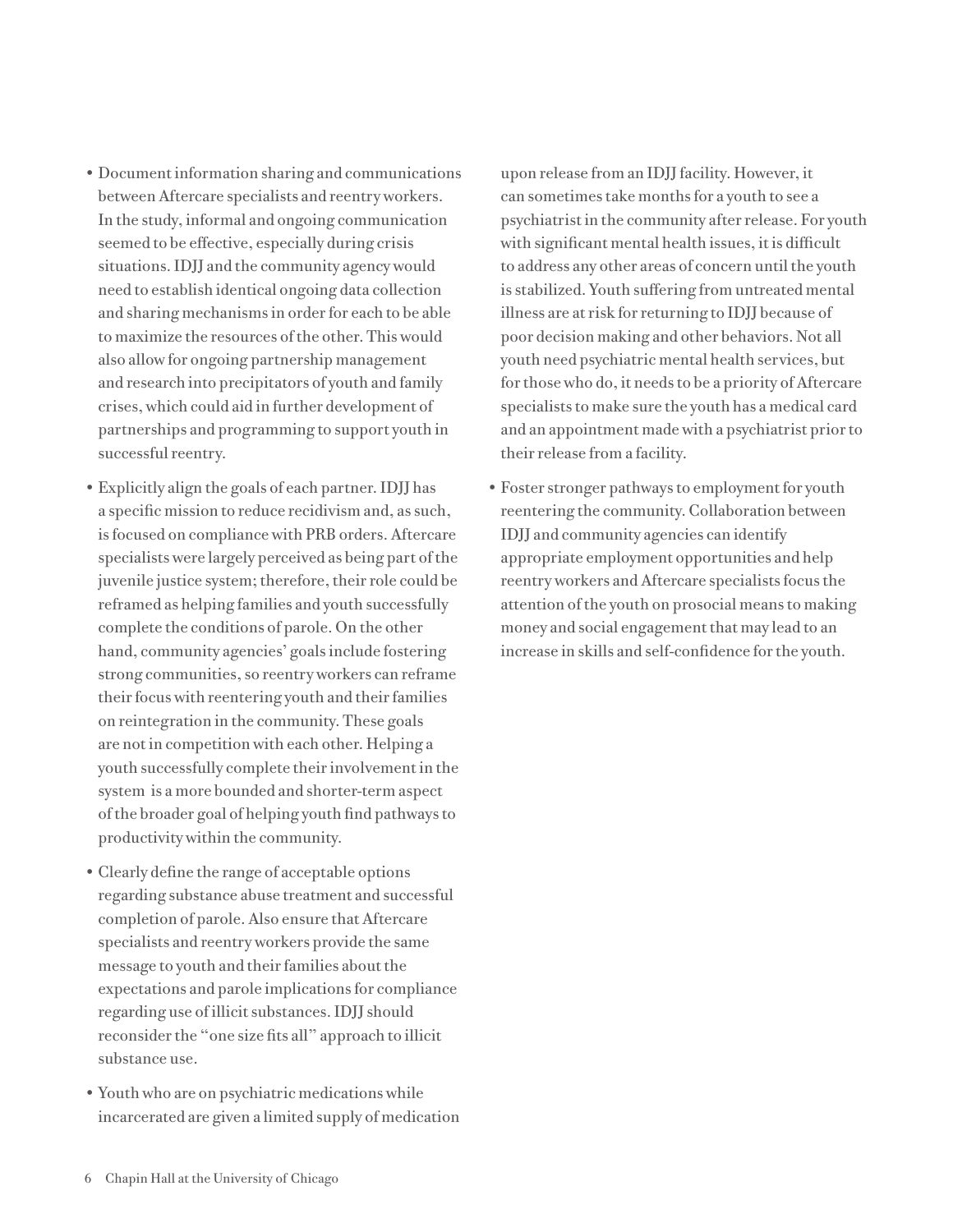- Document information sharing and communications between Aftercare specialists and reentry workers. In the study, informal and ongoing communication seemed to be effective, especially during crisis situations. IDJJ and the community agency would need to establish identical ongoing data collection and sharing mechanisms in order for each to be able to maximize the resources of the other. This would also allow for ongoing partnership management and research into precipitators of youth and family crises, which could aid in further development of partnerships and programming to support youth in successful reentry.
- Explicitly align the goals of each partner. IDJJ has a specific mission to reduce recidivism and, as such, is focused on compliance with PRB orders. Aftercare specialists were largely perceived as being part of the juvenile justice system; therefore, their role could be reframed as helping families and youth successfully complete the conditions of parole. On the other hand, community agencies' goals include fostering strong communities, so reentry workers can reframe their focus with reentering youth and their families on reintegration in the community. These goals are not in competition with each other. Helping a youth successfully complete their involvement in the system is a more bounded and shorter-term aspect of the broader goal of helping youth find pathways to productivity within the community.
- Clearly define the range of acceptable options regarding substance abuse treatment and successful completion of parole. Also ensure that Aftercare specialists and reentry workers provide the same message to youth and their families about the expectations and parole implications for compliance regarding use of illicit substances. IDJJ should reconsider the "one size fits all" approach to illicit substance use.
- •Youth who are on psychiatric medications while incarcerated are given a limited supply of medication

upon release from an IDJJ facility. However, it can sometimes take months for a youth to see a psychiatrist in the community after release. For youth with significant mental health issues, it is difficult to address any other areas of concern until the youth is stabilized. Youth suffering from untreated mental illness are at risk for returning to IDJJ because of poor decision making and other behaviors. Not all youth need psychiatric mental health services, but for those who do, it needs to be a priority of Aftercare specialists to make sure the youth has a medical card and an appointment made with a psychiatrist prior to their release from a facility.

•Foster stronger pathways to employment for youth reentering the community. Collaboration between IDJJ and community agencies can identify appropriate employment opportunities and help reentry workers and Aftercare specialists focus the attention of the youth on prosocial means to making money and social engagement that may lead to an increase in skills and self-confidence for the youth.